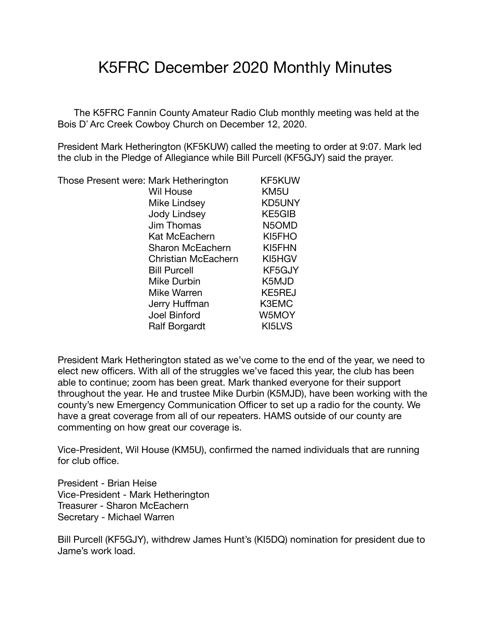## K5FRC December 2020 Monthly Minutes

 The K5FRC Fannin County Amateur Radio Club monthly meeting was held at the Bois D' Arc Creek Cowboy Church on December 12, 2020.

President Mark Hetherington (KF5KUW) called the meeting to order at 9:07. Mark led the club in the Pledge of Allegiance while Bill Purcell (KF5GJY) said the prayer.

Those Present were: Mark Hetherington KF5KUW

 Wil House KM5U Mike Lindsey KD5UNY Jody Lindsey KE5GIB Jim Thomas N5OMD Kat McEachern KI5FHO Sharon McEachern KI5FHN Christian McEachern KI5HGV Bill Purcell KF5GJY Mike Durbin K5MJD Mike Warren KE5REJ Jerry Huffman K3EMC Joel Binford W5MOY Ralf Borgardt KI5LVS

President Mark Hetherington stated as we've come to the end of the year, we need to elect new officers. With all of the struggles we've faced this year, the club has been able to continue; zoom has been great. Mark thanked everyone for their support throughout the year. He and trustee Mike Durbin (K5MJD), have been working with the county's new Emergency Communication Officer to set up a radio for the county. We have a great coverage from all of our repeaters. HAMS outside of our county are commenting on how great our coverage is.

Vice-President, Wil House (KM5U), confirmed the named individuals that are running for club office.

President - Brian Heise Vice-President - Mark Hetherington Treasurer - Sharon McEachern Secretary - Michael Warren

Bill Purcell (KF5GJY), withdrew James Hunt's (KI5DQ) nomination for president due to Jame's work load.